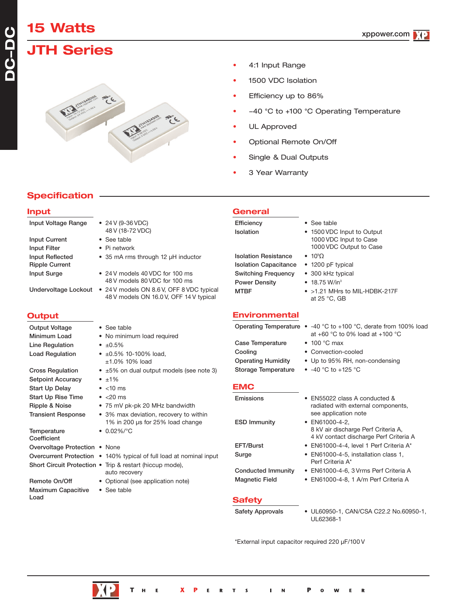# **15 Watts**

**Specification**

**DC-DC**

### **JTH Series**



- 4:1 Input Range
- 1500 VDC Isolation
- Efficiency up to 86%
- -40 °C to +100 °C Operating Temperature
- UL Approved
- Optional Remote On/Off
- Single & Dual Outputs
- 3 Year Warranty

#### **Input** Input Voltage Range • 24 V (9-36 VDC) 48 V (18-72 VDC) Input Current • See table Input Filter • Pi network Input Reflected • 35 mA rms through 12 µH inductor Ripple Current Input Surge • 24 V models 40 VDC for 100 ms 48 V models 80 VDC for 100 ms Undervoltage Lockout • 24 V models ON 8.6 V, OFF 8 VDC typical 48 V models ON 16.0 V, OFF 14 V typical **Output** Output Voltage • See table Minimum Load • No minimum load required Line Regulation •  $\pm 0.5\%$ Load Regulation  $\bullet$   $\pm 0.5\%$  10-100% load, ±1.0% 10% load Cross Regulation  $\bullet$   $\pm 5\%$  on dual output models (see note 3) Setpoint Accuracy • ±1% Start Up Delay • <10 ms Start Up Rise Time • <20 ms Ripple & Noise • 75 mV pk-pk 20 MHz bandwidth Transient Response • 3% max deviation, recovery to within 1% in 200 µs for 25% load change Temperature • 0.02%/°C **Coefficient** Overvoltage Protection • None Overcurrent Protection • 140% typical of full load at nominal input Short Circuit Protection • Trip & restart (hiccup mode), auto recovery Remote On/Off • Optional (see application note) Maximum Capacitive • See table Load **General** Efficiency • See table Isolation • 1500 VDC Input to Output 1000 VDC Input to Case 1000 VDC Output to Case **Isolation Resistance**  $• 10°\Omega$ Isolation Capacitance • 1200 pF typical Switching Frequency • 300 kHz typical Power Density • 18.75 W/in<sup>3</sup> MTBF • >1.21 MHrs to MIL-HDBK-217F at 25 °C, GB **Environmental** Operating Temperature • -40 °C to +100 °C, derate from 100% load at +60 °C to 0% load at +100 °C Case Temperature • 100 °C max Cooling • Convection-cooled Operating Humidity • Up to 95% RH, non-condensing Storage Temperature • -40 °C to +125 °C **EMC** Emissions • EN55022 class A conducted & radiated with external components, see application note ESD Immunity • EN61000-4-2, 8 kV air discharge Perf Criteria A, 4 kV contact discharge Perf Criteria A EFT/Burst • EN61000-4-4, level 1 Perf Criteria A\* Surge • EN61000-4-5, installation class 1, Perf Criteria A\* Conducted Immunity • EN61000-4-6, 3 Vrms Perf Criteria A Magnetic Field • EN61000-4-8, 1 A/m Perf Criteria A **Safety** Safety Approvals • UL60950-1, CAN/CSA C22.2 No.60950-1,

\*External input capacitor required 220 µF/100 V

UL62368-1

 $\mathbf R$